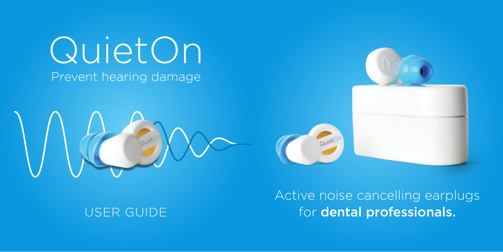QuietOn Prevent hearing damage





# USER GUIDE

Active noise cancelling earplugs for dental professionals.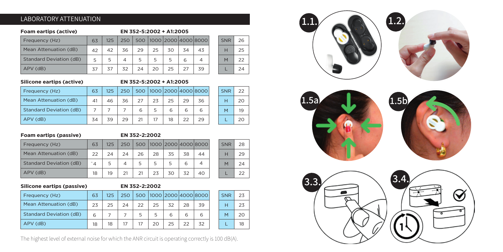#### LABORATORY ATTENUATION

#### **Foam eartips (active) EN 352-5:2002 + A1:2005**

| Frequency (Hz)                 | 63 | 125 | 250            |    | 500 1000 2000 4000 8000 |    |    |    |
|--------------------------------|----|-----|----------------|----|-------------------------|----|----|----|
| Mean Attenuation (dB)          | 42 | 42  | 36             | 29 | 25                      | 30 | 34 | 43 |
| <b>Standard Deviation (dB)</b> | 5  |     | $\overline{4}$ | 5  |                         |    | 6  |    |
| APV (dB)                       | 37 | 37  | 32             | 24 | 20                      | 25 | 27 | 39 |

#### **Silicone eartips (active) EN 352-5:2002 + A1:2005**

| Frequency (Hz)                 | 63 | 125 | 250 |    |    | 500 1000 2000 4000 8000 |    |    |
|--------------------------------|----|-----|-----|----|----|-------------------------|----|----|
| Mean Attenuation (dB)          | 41 | 46  | 36  | 27 | 23 | 25                      | 29 | 36 |
| <b>Standard Deviation (dB)</b> |    |     |     | 6  |    | 6                       | 6  |    |
| APV (dB)                       | 34 | 39  | 29  | 21 |    | 18                      | 22 | 29 |

| <b>SNR</b> | 22 |
|------------|----|
| н          | 20 |
|            | 19 |
|            | 20 |

SNR H M L

SNR H M L

#### **Foam eartips (passive) EN 352-2:2002**

| Frequency (Hz)          | 63 | 125 | 250 |    |    |    |    | 500 1000 2000 4000 8000 |
|-------------------------|----|-----|-----|----|----|----|----|-------------------------|
| Mean Attenuation (dB)   | 22 | 24  | 24  | 26 | 28 | 35 | 38 | 44                      |
| Standard Deviation (dB) | 4  |     | 4   |    |    |    | 6  |                         |
| APV (dB)                | 18 | 19  | 21  | 21 | 23 | 30 | 32 | 40                      |

|  | Silicone eartips (passive) |
|--|----------------------------|
|  |                            |

#### **Silicone eartips (passive) EN 352-2:2002**

| Frequency (Hz)                 | 63 | 125 | 250 |    |    |    |    | 500 1000 2000 4000 8000 | SNR |
|--------------------------------|----|-----|-----|----|----|----|----|-------------------------|-----|
| Mean Attenuation (dB)          | 23 | 25  | 24  | 22 | 25 | 32 | 28 | 39                      |     |
| <b>Standard Deviation (dB)</b> | 6  |     |     | 5  | 5  | 6  |    | 6                       | M   |
| APV (dB)                       | 18 | 18  |     | 17 | 20 | 25 | 22 | 32                      |     |

The highest level of external noise for which the ANR circuit is operating correctly is 100 dB(A).



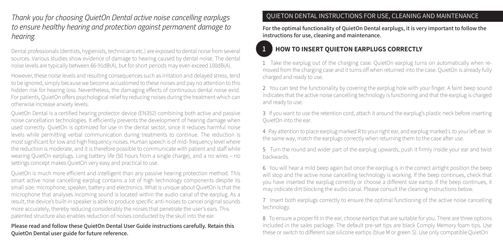*Thank you for choosing QuietOn Dental active noise cancelling earplugs to ensure healthy hearing and protection against permanent damage to hearing.*

Dental professionals (dentists, hygienists, technicians etc.) are exposed to dental noise from several sources. Various studies show evidence of damage to hearing caused by dental noise. The dental noise levels are typically between 66-91dB(A), but for short periods may even exceed 100dB(A).

However, these noise levels and resulting consequences such as irritation and delayed stress, tend to be ignored, simply because we become accustomed to these noises and pay no attention to this hidden risk for hearing loss. Nevertheless, the damaging effects of continuous dental noise exist. For patients, QuietOn offers psychological relief by reducing noises during the treatment which can otherwise increase anxiety levels.

QuietOn Dental is a certified hearing protector device (EN352) combining both active and passive noise cancellation technologies. It efficiently prevents the development of hearing damage when used correctly. QuietOn is optimized for use in the dental sector, since it reduces harmful noise levels while permitting verbal communication during treatments to continue. The reduction is most significant for low and high frequency noises. Human speech is of mid- frequency level where the reduction is moderate, and it is therefore possible to communicate with patient and staff while wearing QuietOn earplugs. Long battery life (50 hours from a single charge), and a no wires – no settings concept makes QuietOn very easy and practical to use.

QuietOn is much more efficient and intelligent than any passive hearing protection method. This smart active noise cancelling earplug contains a lot of high technology components despite its small size: microphone, speaker, battery and electronics. What is unique about QuietOn is that the microphone that analyses incoming sound is located within the audio canal of the earplug. As a result, the device's built-in speaker is able to produce specific anti-noises to cancel original sounds more accurately, thereby reducing considerably the noises that penetrate the user's ears. This patented structure also enables reduction of noises conducted by the skull into the ear.

**Please read and follow these QuietOn Dental User Guide instructions carefully. Retain this QuietOn Dental user guide for future reference.**

#### QUIETON DENTAL INSTRUCTIONS FOR USE, CLEANING AND MAINTENANCE

**For the optimal functionality of QuietOn Dental earplugs, it is very important to follow the instructions for use, cleaning and maintenance.**

# **1 HOW TO INSERT QUIETON EARPLUGS CORRECTLY**

1 Take the earplug out of the charging case. QuietOn earplug turns on automatically when removed from the charging case and it turns off when returned into the case. QuietOn is already fully charged and ready to use.

2 You can test the functionality by covering the earplug hole with your finger. A faint beep sound indicates that the active noise cancelling technology is functioning and that the earplug is charged and ready to use.

3 If you want to use the retention cord, attach it around the earplug's plastic neck before inserting QuietOn into the ear.

4 Pay attention to place earplug marked R to your right ear, and earplug marked L to your left ear. In the same way, match the earplugs correctly when returning them to the case after use.

5 Turn the round and wider part of the earplug upwards, push it firmly inside your ear and twist backwards.

6 You will hear a mild beep again but once the earplug is in the correct airtight position the beep will stop and the active noise cancelling technology is working. If the beep continues, check that you have inserted the earplug correctly or choose a different size eartip. If the beep continues, it may indicate dirt blocking the audio canal. Please consult the cleaning instructions below.

7 Insert both earplugs correctly to ensure the optimal functioning of the active noise cancelling technology.

8 To ensure a proper fit in the ear, choose eartips that are suitable for you. There are three options included in the sales package. The default pre-set tips are black Comply Memory foam tips. Use these or switch to different size silicone eartips (blue M or green S). Use only compatible QuietOn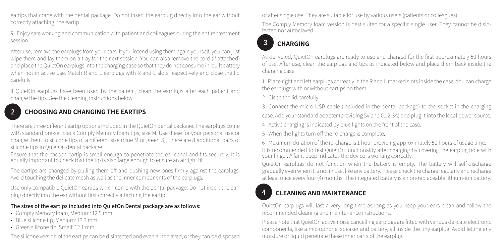eartips that come with the dental package. Do not insert the earplug directly into the ear without correctly attaching the eartip.

9 Enjoy safe working and communication with patient and colleagues during the entire treatment session.

After use, remove the earplugs from your ears. If you intend using them again yourself, you can just wipe them and lay them on a tray for the next session. You can also remove the cord (if attached) and place the QuietOn earplugs into the charging case so that they do not consume in-built battery when not in active use. Match R and L earplugs with R and L slots respectively and close the lid carefully.

If QuietOn earplugs have been used by the patient, clean the earplugs after each patient and change the tips. See the cleaning instructions below.

# **2 CHOOSING AND CHANGING THE EARTIPS**

There are three different eartip options included in the QuietOn dental package. The earplugs come with standard pre-set black Comply Memory foam tips, size M. Use these for your personal use or change them to silicone tips of a different size (blue M or green S). There are 8 additional pairs of silicone tips in QuietOn dental package.

Ensure that the chosen eartip is small enough to penetrate the ear canal and fits securely. It is equally important to check that the tip is also large enough to ensure an airtight fit.

The eartips are changed by pulling them off and pushing new ones firmly against the earplugs. Avoid touching the delicate mesh as well as the inner components of the earplugs.

Use only compatible QuietOn eartips which come with the dental package. Do not insert the earplug directly into the ear without first correctly attaching the eartip.

#### **The sizes of the eartips included into QuietOn Dental package are as follows:**

- Comply Memory foam, Medium: 12.5 mm
- Blue silicone tip, Medium: 13.3 mm
- Green silicone tip, Small: 12.1 mm

The silicone version of the eartips can be disinfected and even autoclaved, or they can be disposed

of after single use. They are suitable for use by various users (patients or colleagues).

The Comply Memory foam version is best suited for a specific single user. They cannot be disinfected nor autoclaved.

# **3 CHARGING**

As delivered, QuietOn earplugs are ready to use and charged for the first approximately 50 hours of use. After use, clean the earplugs and tips as indicated below and place them back inside the charging case.

1 Place right and left earplugs correctly in the R and L marked slots inside the case. You can charge the earplugs with or without eartips on them.

2 Close the lid carefully.

3 Connect the micro-USB cable (included in the dental package) to the socket in the charging case. Add your standard adapter (providing 5V and 0.12-3A) and plug it into the local power source.

4 Active charging is indicated by blue lights on the front of the case.

5 When the lights turn off the re-charge is complete.

6 Maximum duration of the re-charge is 1 hour providing approximately 50 hours of usage time. It is recommended to test QuietOn functionality after charging by covering the earplug hole with your finger. A faint beep indicates the device is working correctly.

QuietOn earplugs do not function when the battery is empty. The battery will self-discharge gradually even when it is not in use, like any battery. Please check the charge regularly and recharge at least once every four (4) months. The integrated battery is a non-replaceable lithium-ion battery.

# **4 CLEANING AND MAINTENANCE**

QuietOn earplugs will last a very long time as long as you keep your ears clean and follow the recommended cleaning and maintenance instructions.

Please note that QuietOn active noise cancelling earplugs are fitted with various delicate electronic components, like a microphone, speaker and battery, all inside the tiny earplug. Avoid letting any moisture or liquid penetrate these inner parts of the earplug.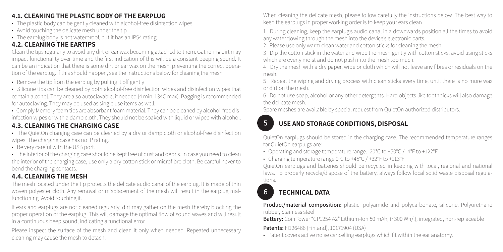### **4.1. CLEANING THE PLASTIC BODY OF THE EARPLUG**

- The plastic body can be gently cleaned with alcohol-free disinfection wipes
- Avoid touching the delicate mesh under the tip
- The earplug body is not waterproof, but it has an IP54 rating

## **4.2. CLEANING THE EARTIPS**

Clean the tips regularly to avoid any dirt or ear wax becoming attached to them. Gathering dirt may impact functionality over time and the first indication of this will be a constant beeping sound. It can be an indication that there is some dirt or ear wax on the mesh, preventing the correct operation of the earplug. If this should happen, see the instructions below for cleaning the mesh.

- Remove the tip from the earplug by pulling it off gently
- Silicone tips can be cleaned by both alcohol-free disinfection wipes and disinfection wipes that contain alcohol. They are also autoclavable, if needed (4 min. 134C max). Bagging is recommended for autoclaving. They may be used as single use items as well.
- Comply Memory foam tips are absorbant foam material. They can be cleaned by alcohol-free disinfection wipes or with a damp cloth. They should not be soaked with liquid or wiped with alcohol.

#### **4.3. CLEANING THE CHARGING CASE**

- The QuietOn charging case can be cleaned by a dry or damp cloth or alcohol-free disinfection wipes. The charging case has no IP rating.
- Be very careful with the USB port.
- The interior of the charging case should be kept free of dust and debris. In case you need to clean the interior of the charging case, use only a dry cotton stick or microfibre cloth. Be careful never to bend the charging contacts.

## **4.4. CLEANING THE MESH**

The mesh located under the tip protects the delicate audio canal of the earplug. It is made of thin woven polyester cloth. Any removal or misplacement of the mesh will result in the earplug malfunctioning. Avoid touching it.

If ears and earplugs are not cleaned regularly, dirt may gather on the mesh thereby blocking the proper operation of the earplug. This will damage the optimal flow of sound waves and will result in a continuous beep sound, indicating a functional error.

Please inspect the surface of the mesh and clean it only when needed. Repeated unnecessary cleaning may cause the mesh to detach.

When cleaning the delicate mesh, please follow carefully the instructions below. The best way to keep the earplugs in proper working order is to keep your ears clean.

1 During cleaning, keep the earplug's audio canal in a downwards position all the times to avoid any water flowing through the mesh into the device's electronic parts.

2 Please use only warm clean water and cotton sticks for cleaning the mesh.

3 Dip the cotton stick in the water and wipe the mesh gently with cotton sticks, avoid using sticks which are overly moist and do not push into the mesh too much.

4 Dry the mesh with a dry paper, wipe or cloth which will not leave any fibres or residuals on the mesh.

5 Repeat the wiping and drying process with clean sticks every time, until there is no more wax or dirt on the mesh.

6 Do not use soap, alcohol or any other detergents. Hard objects like toothpicks will also damage the delicate mesh.

Spare meshes are available by special request from QuietOn authorized distributors.

## **5 USE AND STORAGE CONDITIONS, DISPOSAL**

QuietOn earplugs should be stored in the charging case. The recommended temperature ranges for QuietOn earplugs are:

- Operating and storage temperature range: -20°C to +50°C / -4°F to +122°F
- Charging temperature range:0°C to +45°C / +32°F to +113°F

QuietOn earplugs and batteries should be recycled in keeping with local, regional and national laws. To properly recycle/dispose of the battery, always follow local solid waste disposal regulations.

## **6 TECHNICAL DATA**

#### **Product/material composition:** plastic: polyamide and polycarbonate, silicone, Polyurethane rubber, Stainless steel

**Battery:** CoinPower "CP1254 A2" Lithium-Ion 50 mAh, (~300 Wh/l), integrated, non-replaceable

**Patents:** FI126466 (Finland), 10171904 (USA)

• Patent covers active noise cancelling earplugs which fit within the ear anatomy.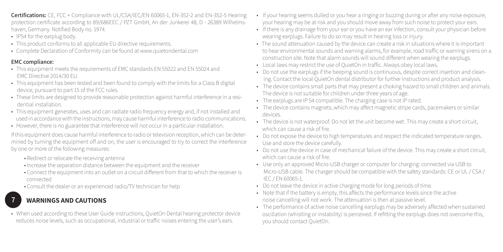**Certifications:** CE, FCC + Compliance with UL/CSA/IEC/EN 60065-1, EN-352-2 and EN-352-5 Hearing protection certificate according to 89/686EEC / PZT GmbH, An der Junkerei 48, D - 26389 Wilhelmshaven, Germany. Notified Body no. 1974.

- IP54 for the earplug body.
- This product conforms to all applicable EU directive requirements.
- Complete Declaration of Conformity can be found at www.quietondental.com

#### **EMC compliance:**

- This equipment meets the requirements of EMC standards EN 55022 and EN 55024 and EMC Directive 2014/30 EU.
- This equipment has been tested and been found to comply with the limits for a Class B digital device, pursuant to part 15 of the FCC rules.
- These limits are designed to provide reasonable protection against harmful interference in a resi dential installation.
- This equipment generates, uses and can radiate radio frequency energy and, if not installed and used in accordance with the instructions, may cause harmful interference to radio communications.
- However, there is no guarantee that interference will not occur in a particular installation.

If this equipment does cause harmful interference to radio or television reception, which can be determined by turning the equipment off and on, the user is encouraged to try to correct the interference by one or more of the following measures:

- Redirect or relocate the receiving antenna
- Increase the separation distance between the equipment and the receiver
- Connect the equipment into an outlet on a circuit different from that to which the receiver is connected
- Consult the dealer or an experienced radio/TV technician for help

# **7 WARNINGS AND CAUTIONS**

• When used according to these User Guide instructions, QuietOn Dental hearing protector device reduces noise levels, such as occupational, industrial or traffic noises entering the user's ears.

- If your hearing seems dulled or you hear a ringing or buzzing during or after any noise exposure, your hearing may be at risk and you should move away from such noise to protect your ears.
- If there is any drainage from your ear or you have an ear infection, consult your physician before wearing earplugs. Failure to do so may result in hearing loss or injury.
- The sound attenuation caused by the device can create a risk in situations where it is important to hear environmental sounds and warning alarms, for example, road traffic or warning sirens on a construction site. Note that alarm sounds will sound different when wearing the earplugs.
- Local laws may restrict the use of QuietOn in traffic. Always obey local laws.
- Do not use the earplugs if the beeping sound is continuous, despite correct insertion and clean ing. Contact the local QuietOn dental distributor for further instructions and product analysis.
- The device contains small parts that may present a choking hazard to small children and animals. The device is not suitable for children under three years of age.
- The earplugs are IP 54 compatible. The charging case is not IP rated.
- The device contains magnets, which may affect magnetic stripe cards, pacemakers or similar devices.
- The device is not waterproof. Do not let the unit become wet. This may create a short circuit, which can cause a risk of fire.
- Do not expose the device to high temperatures and respect the indicated temperature ranges. Use and store the device carefully.
- Do not use the device in case of mechanical failure of the device. This may create a short circuit, which can cause a risk of fire.
- Use only an approved Micro-USB charger or computer for charging: connected via USB to Micro-USB cable. The charger should be compatible with the safety standards: CE or UL / CSA / IEC / EN 60065-1.
- Do not leave the device in active charging mode for long periods of time.
- Note that if the battery is empty, this affects the performance levels since the active noise cancelling will not work. The attenuation is then at passive level.
- The performance of active noise cancelling earplugs may be adversely affected when sustained oscillation (whistling or instability) is perceived. If refitting the earplugs does not overcome this, you should contact QuietOn.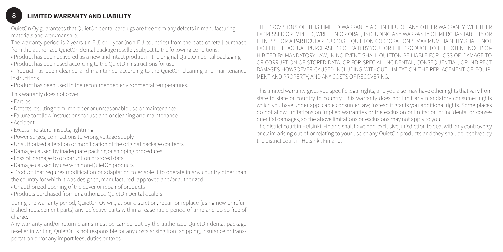#### **8 LIMITED WARRANTY AND LIABILITY**

QuietOn Oy guarantees that QuietOn dental earplugs are free from any defects in manufacturing, materials and workmanship.

The warranty period is 2 years (in EU) or 1 year (non-EU countries) from the date of retail purchase from the authorized QuietOn dental package reseller, subject to the following conditions:

- Product has been delivered as a new and intact product in the original QuietOn dental packaging
- Product has been used according to the QuietOn instructions for use
- Product has been cleaned and maintained according to the QuietOn cleaning and maintenance instructions
- Product has been used in the recommended environmental temperatures.

This warranty does not cover

- Eartips
- Defects resulting from improper or unreasonable use or maintenance
- Failure to follow instructions for use and or cleaning and maintenance
- Accident
- Excess moisture, insects, lightning
- Power surges, connections to wrong voltage supply
- Unauthorized alteration or modification of the original package contents
- Damage caused by inadequate packing or shipping procedures
- Loss of, damage to or corruption of stored data
- Damage caused by use with non-QuietOn products
- Product that requires modification or adaptation to enable it to operate in any country other than the country for which it was designed, manufactured, approved and/or authorized
- Unauthorized opening of the cover or repair of products
- Products purchased from unauthorized QuietOn Dental dealers.

During the warranty period, QuietOn Oy will, at our discretion, repair or replace (using new or refurbished replacement parts) any defective parts within a reasonable period of time and do so free of charge.

Any warranty and/or return claims must be carried out by the authorized QuietOn dental package reseller in writing. QuietOn is not responsible for any costs arising from shipping, insurance or transportation or for any import fees, duties or taxes.

THE PROVISIONS OF THIS LIMITED WARRANTY ARE IN LIEU OF ANY OTHER WARRANTY, WHETHER EXPRESSED OR IMPLIED, WRITTEN OR ORAL, INCLUDING ANY WARRANTY OF MERCHANTABILITY OR FITNESS FOR A PARTICULAR PURPOSE. QUIETON CORPORATION'S MAXIMUM LIABILITY SHALL NOT EXCEED THE ACTUAL PURCHASE PRICE PAID BY YOU FOR THE PRODUCT. TO THE EXTENT NOT PRO-HIBITED BY MANDATORY LAW, IN NO EVENT SHALL QUIETON BE LIABLE FOR LOSS OF, DAMAGE TO OR CORRUPTION OF STORED DATA, OR FOR SPECIAL, INCIDENTAL, CONSEQUENTIAL, OR INDIRECT DAMAGES HOWSOEVER CAUSED INCLUDING WITHOUT LIMITATION THE REPLACEMENT OF EQUIP-MENT AND PROPERTY, AND ANY COSTS OF RECOVERING.

This limited warranty gives you specific legal rights, and you also may have other rights that vary from state to state or country to country. This warranty does not limit any mandatory consumer rights which you have under applicable consumer law; instead it grants you additional rights. Some places do not allow limitations on implied warranties or the exclusion or limitation of incidental or consequential damages, so the above limitations or exclusions may not apply to you.

The district court in Helsinki, Finland shall have non-exclusive jurisdiction to deal with any controversy or claim arising out of or relating to your use of any QuietOn products and they shall be resolved by the district court in Helsinki, Finland.